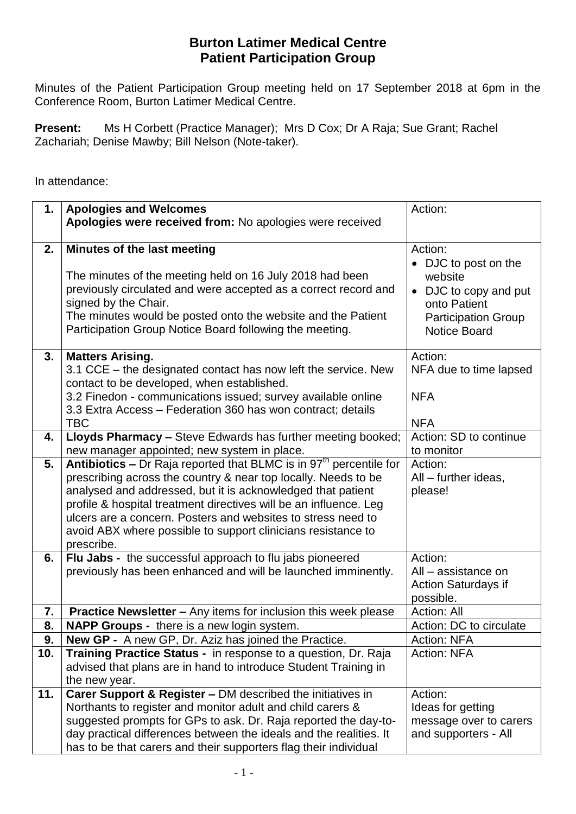## **Burton Latimer Medical Centre Patient Participation Group**

 Minutes of the Patient Participation Group meeting held on 17 September 2018 at 6pm in the Conference Room, Burton Latimer Medical Centre.

 **Present:** Ms H Corbett (Practice Manager); Mrs D Cox; Dr A Raja; Sue Grant; Rachel Zachariah; Denise Mawby; Bill Nelson (Note-taker).

In attendance:

| 1.  | <b>Apologies and Welcomes</b><br>Apologies were received from: No apologies were received                                                                                                                                                                                                                                                                                                                                          | Action:                                                                                                                                  |
|-----|------------------------------------------------------------------------------------------------------------------------------------------------------------------------------------------------------------------------------------------------------------------------------------------------------------------------------------------------------------------------------------------------------------------------------------|------------------------------------------------------------------------------------------------------------------------------------------|
|     |                                                                                                                                                                                                                                                                                                                                                                                                                                    |                                                                                                                                          |
| 2.  | Minutes of the last meeting<br>The minutes of the meeting held on 16 July 2018 had been<br>previously circulated and were accepted as a correct record and<br>signed by the Chair.<br>The minutes would be posted onto the website and the Patient<br>Participation Group Notice Board following the meeting.                                                                                                                      | Action:<br>• DJC to post on the<br>website<br>• DJC to copy and put<br>onto Patient<br><b>Participation Group</b><br><b>Notice Board</b> |
| 3.  | <b>Matters Arising.</b><br>3.1 CCE - the designated contact has now left the service. New<br>contact to be developed, when established.<br>3.2 Finedon - communications issued; survey available online<br>3.3 Extra Access - Federation 360 has won contract; details<br><b>TBC</b>                                                                                                                                               | Action:<br>NFA due to time lapsed<br><b>NFA</b><br><b>NFA</b>                                                                            |
| 4.  | Lloyds Pharmacy - Steve Edwards has further meeting booked;<br>new manager appointed; new system in place.                                                                                                                                                                                                                                                                                                                         | Action: SD to continue<br>to monitor                                                                                                     |
| 5.  | Antibiotics - Dr Raja reported that BLMC is in 97 <sup>th</sup> percentile for<br>prescribing across the country & near top locally. Needs to be<br>analysed and addressed, but it is acknowledged that patient<br>profile & hospital treatment directives will be an influence. Leg<br>ulcers are a concern. Posters and websites to stress need to<br>avoid ABX where possible to support clinicians resistance to<br>prescribe. | Action:<br>All - further ideas,<br>please!                                                                                               |
| 6.  | Flu Jabs - the successful approach to flu jabs pioneered<br>previously has been enhanced and will be launched imminently.                                                                                                                                                                                                                                                                                                          | Action:<br>All - assistance on<br><b>Action Saturdays if</b><br>possible.                                                                |
| 7.  | <b>Practice Newsletter - Any items for inclusion this week please</b>                                                                                                                                                                                                                                                                                                                                                              | Action: All                                                                                                                              |
| 8.  | <b>NAPP Groups - there is a new login system.</b>                                                                                                                                                                                                                                                                                                                                                                                  | Action: DC to circulate                                                                                                                  |
| 9.  | <b>New GP -</b> A new GP, Dr. Aziz has joined the Practice.                                                                                                                                                                                                                                                                                                                                                                        | <b>Action: NFA</b>                                                                                                                       |
| 10. | Training Practice Status - in response to a question, Dr. Raja<br>advised that plans are in hand to introduce Student Training in<br>the new year.                                                                                                                                                                                                                                                                                 | <b>Action: NFA</b>                                                                                                                       |
| 11. | Carer Support & Register - DM described the initiatives in<br>Northants to register and monitor adult and child carers &<br>suggested prompts for GPs to ask. Dr. Raja reported the day-to-<br>day practical differences between the ideals and the realities. It<br>has to be that carers and their supporters flag their individual                                                                                              | Action:<br>Ideas for getting<br>message over to carers<br>and supporters - All                                                           |